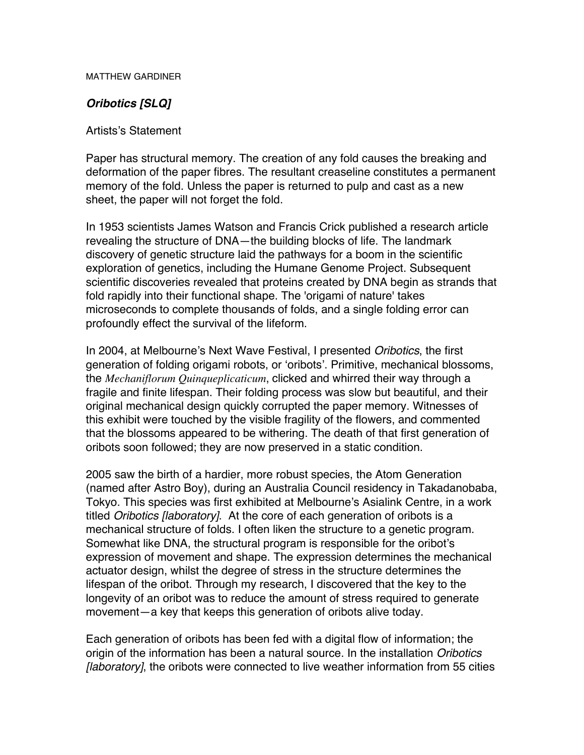MATTHEW GARDINER

## **Oribotics [SLQ]**

## Artists's Statement

Paper has structural memory. The creation of any fold causes the breaking and deformation of the paper fibres. The resultant creaseline constitutes a permanent memory of the fold. Unless the paper is returned to pulp and cast as a new sheet, the paper will not forget the fold.

In 1953 scientists James Watson and Francis Crick published a research article revealing the structure of DNA—the building blocks of life. The landmark discovery of genetic structure laid the pathways for a boom in the scientific exploration of genetics, including the Humane Genome Project. Subsequent scientific discoveries revealed that proteins created by DNA begin as strands that fold rapidly into their functional shape. The 'origami of nature' takes microseconds to complete thousands of folds, and a single folding error can profoundly effect the survival of the lifeform.

In 2004, at Melbourne's Next Wave Festival, I presented *Oribotics*, the first generation of folding origami robots, or 'oribots'. Primitive, mechanical blossoms, the *Mechaniflorum Quinqueplicaticum*, clicked and whirred their way through a fragile and finite lifespan. Their folding process was slow but beautiful, and their original mechanical design quickly corrupted the paper memory. Witnesses of this exhibit were touched by the visible fragility of the flowers, and commented that the blossoms appeared to be withering. The death of that first generation of oribots soon followed; they are now preserved in a static condition.

2005 saw the birth of a hardier, more robust species, the Atom Generation (named after Astro Boy), during an Australia Council residency in Takadanobaba, Tokyo. This species was first exhibited at Melbourne's Asialink Centre, in a work titled Oribotics [laboratory]. At the core of each generation of oribots is a mechanical structure of folds. I often liken the structure to a genetic program. Somewhat like DNA, the structural program is responsible for the oribot's expression of movement and shape. The expression determines the mechanical actuator design, whilst the degree of stress in the structure determines the lifespan of the oribot. Through my research, I discovered that the key to the longevity of an oribot was to reduce the amount of stress required to generate movement—a key that keeps this generation of oribots alive today.

Each generation of oribots has been fed with a digital flow of information; the origin of the information has been a natural source. In the installation Oribotics [*laboratory*], the oribots were connected to live weather information from 55 cities